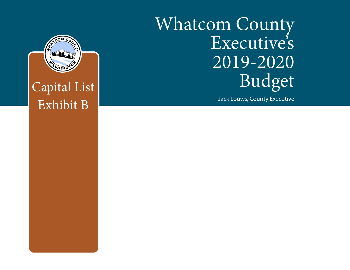# Whatcom County Executive's 2019-2020 Budget

Jack Louws, County Executive



Capital List Exhibit B

This Report Prepared and Published by the Whatcom County Administrative Services Department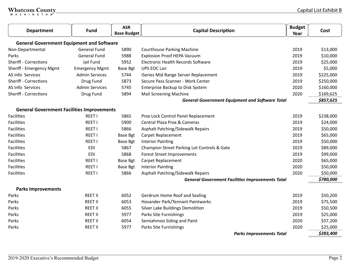|  |  |  |  | Whatcom County_ |  |
|--|--|--|--|-----------------|--|
|  |  |  |  |                 |  |

| <b>Department</b>                                 | <b>Fund</b>           | <b>ASR</b><br><b>Base Budget</b> | <b>Capital Description</b>                              | <b>Budget</b><br>Year | Cost      |
|---------------------------------------------------|-----------------------|----------------------------------|---------------------------------------------------------|-----------------------|-----------|
| <b>General Government Equipment and Software</b>  |                       |                                  |                                                         |                       |           |
| Non-Departmental                                  | <b>General Fund</b>   | 5890                             | <b>Courthouse Parking Machine</b>                       | 2019                  | \$13,000  |
| Parks                                             | <b>General Fund</b>   | 5988                             | <b>Explosion Proof HEPA Vacuum</b>                      | 2019                  | \$10,000  |
| <b>Sheriff - Corrections</b>                      | Jail Fund             | 5952                             | <b>Electronic Health Records Software</b>               | 2019                  | \$25,000  |
| Sheriff - Emergency Mgmt                          | <b>Emergency Mgmt</b> | <b>Base Bgt</b>                  | <b>UPS EOC Lan</b>                                      | 2019                  | \$5,000   |
| AS Info Services                                  | <b>Admin Services</b> | 5744                             | iSeries Mid Range Server Replacement                    | 2019                  | \$225,000 |
| <b>Sheriff - Corrections</b>                      | Drug Fund             | 5873                             | Secure Pass Scanner - Work Center                       | 2019                  | \$250,000 |
| AS Info Services                                  | <b>Admin Services</b> | 5745                             | Enterprise Backup to Disk System                        | 2020                  | \$160,000 |
| <b>Sheriff - Corrections</b>                      | Drug Fund             | 5894                             | <b>Mail Screening Machine</b>                           | 2020                  | \$169,625 |
|                                                   |                       |                                  | <b>General Government Equipment and Software Total</b>  |                       | \$857,625 |
| <b>General Government Facilities Improvements</b> |                       |                                  |                                                         |                       |           |
| Facilities                                        | REET I                | 5865                             | Prox Lock Control Panel Replacement                     | 2019                  | \$238,000 |
| <b>Facilities</b>                                 | <b>REET I</b>         | 5900                             | Central Plaza Prox & Cameras                            | 2019                  | \$24,000  |
| <b>Facilities</b>                                 | <b>REET I</b>         | 5866                             | Asphalt Patching/Sidewalk Repairs                       | 2019                  | \$50,000  |
| <b>Facilities</b>                                 | <b>REET I</b>         | <b>Base Bgt</b>                  | Carpet Replacement                                      | 2019                  | \$65,000  |
| <b>Facilities</b>                                 | REET I                | Base Bgt                         | <b>Interior Painting</b>                                | 2019                  | \$50,000  |
| <b>Facilities</b>                                 | <b>EDI</b>            | 5867                             | Champion Street Parking Lot Controls & Gate             | 2019                  | \$89,000  |
| Facilities                                        | <b>EDI</b>            | 5868                             | <b>Forest Street Improvements</b>                       | 2019                  | \$99,000  |
| <b>Facilities</b>                                 | <b>REET I</b>         | Base Bgt                         | Carpet Replacement                                      | 2020                  | \$65,000  |
| <b>Facilities</b>                                 | <b>REET I</b>         | <b>Base Bgt</b>                  | <b>Interior Painting</b>                                | 2020                  | \$50,000  |
| <b>Facilities</b>                                 | REET I                | 5866                             | Asphalt Patching/Sidewalk Repairs                       | 2020                  | \$50,000  |
|                                                   |                       |                                  | <b>General Government Facilities Improvements Total</b> |                       | \$780,000 |
| <b>Parks Improvements</b>                         |                       |                                  |                                                         |                       |           |
| Parks                                             | <b>REET II</b>        | 6052                             | Gerdrum Home Roof and Sealing                           | 2019                  | \$50,200  |
| Parks                                             | <b>REET II</b>        | 6053                             | Hovander Park/Tennant Paintworks                        | 2019                  | \$75,500  |
| Parks                                             | <b>REET II</b>        | 6055                             | Silver Lake Buildings Demolition                        | 2019                  | \$50,500  |
| Parks                                             | <b>REET II</b>        | 5977                             | Parks Site Furnishings                                  | 2019                  | \$25,000  |
| Parks                                             | <b>REET II</b>        | 6054                             | Semiahmoo Siding and Paint                              | 2020                  | \$57,200  |
| Parks                                             | <b>REET II</b>        | 5977                             | Parks Site Furnishings                                  | 2020                  | \$25,000  |
|                                                   |                       |                                  | <b>Parks Improvements Total</b>                         |                       | \$283,400 |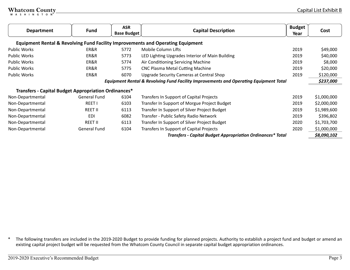| <b>Department</b>                                    | <b>Fund</b>    | <b>ASR</b><br><b>Base Budget</b> | <b>Budget</b><br><b>Capital Description</b>                                                      |      | Cost        |
|------------------------------------------------------|----------------|----------------------------------|--------------------------------------------------------------------------------------------------|------|-------------|
|                                                      |                |                                  | <b>Equipment Rental &amp; Revolving Fund Facility Improvements and Operating Equipment</b>       |      |             |
| Public Works                                         | ER&R           | 5772                             | Mobile Column Lifts                                                                              | 2019 | \$49,000    |
| <b>Public Works</b>                                  | ER&R           | 5773                             | LED Lighting Upgrades Interior of Main Building                                                  | 2019 | \$40,000    |
| <b>Public Works</b>                                  | ER&R           | 5774                             | Air Conditioning Servicing Machine                                                               | 2019 | \$8,000     |
| <b>Public Works</b>                                  | ER&R           | 5775                             | <b>CNC Plasma Metal Cutting Machine</b>                                                          | 2019 | \$20,000    |
| <b>Public Works</b>                                  | ER&R           | 6070                             | Upgrade Security Cameras at Central Shop                                                         | 2019 | \$120,000   |
|                                                      |                |                                  | <b>Equipment Rental &amp; Revolving Fund Facility Improvements and Operating Equipment Total</b> |      | \$237,000   |
| Transfers - Capital Budget Appropriation Ordinances* |                |                                  |                                                                                                  |      |             |
| Non-Departmental                                     | General Fund   | 6104                             | Transfers In Support of Capital Projects                                                         | 2019 | \$1,000,000 |
| Non-Departmental                                     | <b>REET I</b>  | 6103                             | Transfer In Support of Morgue Project Budget                                                     | 2019 | \$2,000,000 |
| Non-Departmental                                     | <b>REET II</b> | 6113                             | Transfer In Support of Silver Project Budget                                                     | 2019 | \$1,989,600 |
| Non-Departmental                                     | EDI            | 6082                             | Transfer - Public Safety Radio Network                                                           | 2019 | \$396,802   |
| Non-Departmental                                     | <b>REET II</b> | 6113                             | Transfer In Support of Silver Project Budget                                                     | 2020 | \$1,703,700 |
| Non-Departmental                                     | General Fund   | 6104                             | Transfers In Support of Capital Projects                                                         | 2020 | \$1,000,000 |
|                                                      |                |                                  | <b>Transfers - Capital Budget Appropriation Ordinances* Total</b>                                |      | \$8,090,102 |

\* The following transfers are included in the 2019-2020 Budget to provide funding for planned projects. Authority to establish a project fund and budget or amend an existing capital project budget will be requested from the Whatcom County Council in separate capital budget appropriation ordinances.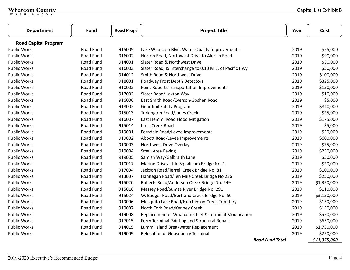| <b>Department</b>           | <b>Fund</b>      | Road Proj # | <b>Project Title</b>                                    | Year                   | Cost         |
|-----------------------------|------------------|-------------|---------------------------------------------------------|------------------------|--------------|
| <b>Road Capital Program</b> |                  |             |                                                         |                        |              |
| <b>Public Works</b>         | Road Fund        | 915009      | Lake Whatcom Blvd, Water Quality Improvements           | 2019                   | \$25,000     |
| <b>Public Works</b>         | Road Fund        | 916002      | Horton Road, Northwest Drive to Aldrich Road            | 2019                   | \$90,000     |
| <b>Public Works</b>         | Road Fund        | 914001      | Slater Road & Northwest Drive                           | 2019                   | \$50,000     |
| <b>Public Works</b>         | Road Fund        | 916003      | Slater Road, 15 Interchange to 0.10 M E. of Pacific Hwy | 2019                   | \$50,000     |
| <b>Public Works</b>         | <b>Road Fund</b> | 914012      | Smith Road & Northwest Drive                            | 2019                   | \$100,000    |
| <b>Public Works</b>         | Road Fund        | 918001      | Roadway Frost Depth Detectors                           | 2019                   | \$325,000    |
| <b>Public Works</b>         | Road Fund        | 910002      | Point Roberts Transportation Improvements               | 2019                   | \$150,000    |
| <b>Public Works</b>         | Road Fund        | 917002      | Slater Road/Haxton Way                                  | 2019                   | \$10,000     |
| <b>Public Works</b>         | Road Fund        | 916006      | East Smith Road/Everson-Goshen Road                     | 2019                   | \$5,000      |
| <b>Public Works</b>         | Road Fund        | 918002      | <b>Guardrail Safety Program</b>                         | 2019                   | \$840,000    |
| <b>Public Works</b>         | Road Fund        | 915013      | <b>Turkington Road/Jones Creek</b>                      | 2019                   | \$25,000     |
| <b>Public Works</b>         | Road Fund        | 916007      | East Hemmi Road Flood Mitigation                        | 2019                   | \$175,000    |
| <b>Public Works</b>         | Road Fund        | 915014      | Innis Creek Road                                        | 2019                   | \$5,000      |
| <b>Public Works</b>         | Road Fund        | 919001      | Ferndale Road/Levee Improvements                        | 2019                   | \$50,000     |
| <b>Public Works</b>         | Road Fund        | 919002      | Abbott Road/Levee Improvements                          | 2019                   | \$600,000    |
| <b>Public Works</b>         | Road Fund        | 919003      | Northwest Drive Overlay                                 | 2019                   | \$75,000     |
| <b>Public Works</b>         | <b>Road Fund</b> | 919004      | <b>Small Area Paving</b>                                | 2019                   | \$250,000    |
| <b>Public Works</b>         | Road Fund        | 919005      | Samish Way/Galbraith Lane                               | 2019                   | \$50,000     |
| <b>Public Works</b>         | Road Fund        | 910017      | Marine Drive/Little Squalicum Bridge No. 1              | 2019                   | \$20,000     |
| <b>Public Works</b>         | Road Fund        | 917004      | Jackson Road/Terrell Creek Bridge No. 81                | 2019                   | \$100,000    |
| <b>Public Works</b>         | Road Fund        | 913007      | Hannegan Road/Ten Mile Creek Bridge No 236              | 2019                   | \$250,000    |
| <b>Public Works</b>         | Road Fund        | 915020      | Roberts Road/Anderson Creek Bridge No. 249              | 2019                   | \$1,350,000  |
| <b>Public Works</b>         | Road Fund        | 915016      | Massey Road/Sumas River Bridge No. 291                  | 2019                   | \$110,000    |
| <b>Public Works</b>         | Road Fund        | 915024      | W. Badger Road/Bertrand Creek Bridge No. 50             | 2019                   | \$3,150,000  |
| <b>Public Works</b>         | Road Fund        | 919006      | Mosquito Lake Road/Hutchinson Creek Tributary           | 2019                   | \$150,000    |
| <b>Public Works</b>         | <b>Road Fund</b> | 919007      | North Fork Road/Kenney Creek                            | 2019                   | \$150,000    |
| <b>Public Works</b>         | Road Fund        | 919008      | Replacement of Whatcom Chief & Terminal Modification    | 2019                   | \$550,000    |
| <b>Public Works</b>         | Road Fund        | 917015      | Ferry Terminal Painting and Structural Repair           | 2019                   | \$650,000    |
| <b>Public Works</b>         | <b>Road Fund</b> | 914015      | Lummi Island Breakwater Replacement                     | 2019                   | \$1,750,000  |
| <b>Public Works</b>         | Road Fund        | 919009      | Relocation of Gooseberry Terminal                       | 2019                   | \$250,000    |
|                             |                  |             |                                                         | <b>Road Fund Total</b> | \$11,355,000 |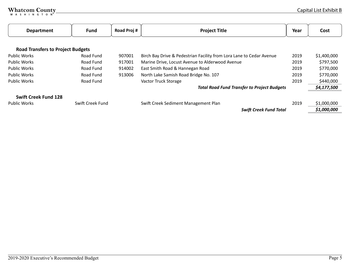| <b>Department</b>                        | <b>Fund</b>      | Road Proj # | <b>Project Title</b>                                                 | Year | Cost        |
|------------------------------------------|------------------|-------------|----------------------------------------------------------------------|------|-------------|
|                                          |                  |             |                                                                      |      |             |
| <b>Road Transfers to Project Budgets</b> |                  |             |                                                                      |      |             |
| <b>Public Works</b>                      | Road Fund        | 907001      | Birch Bay Drive & Pedestrian Facility from Lora Lane to Cedar Avenue | 2019 | \$1,400,000 |
| <b>Public Works</b>                      | Road Fund        | 917001      | Marine Drive, Locust Avenue to Alderwood Avenue                      | 2019 | \$797,500   |
| <b>Public Works</b>                      | Road Fund        | 914002      | East Smith Road & Hannegan Road                                      | 2019 | \$770,000   |
| <b>Public Works</b>                      | Road Fund        | 913006      | North Lake Samish Road Bridge No. 107                                | 2019 | \$770,000   |
| <b>Public Works</b>                      | Road Fund        |             | Vactor Truck Storage                                                 | 2019 | \$440,000   |
|                                          |                  |             | <b>Total Road Fund Transfer to Project Budgets</b>                   |      | \$4,177,500 |
| <b>Swift Creek Fund 128</b>              |                  |             |                                                                      |      |             |
| <b>Public Works</b>                      | Swift Creek Fund |             | Swift Creek Sediment Management Plan                                 | 2019 | \$1,000,000 |
|                                          |                  |             | <b>Swift Creek Fund Total</b>                                        |      | \$1,000,000 |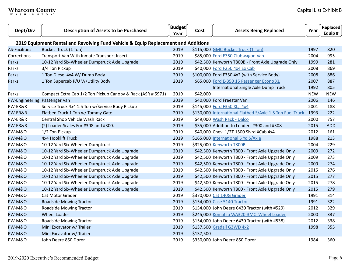| Dept/Div                     | <b>Description of Assets to be Purchased</b>                                       | <b>Budget</b><br>Year | Cost      | <b>Assets Being Replaced</b>                              | Year       | Replaced<br>Equip # |
|------------------------------|------------------------------------------------------------------------------------|-----------------------|-----------|-----------------------------------------------------------|------------|---------------------|
|                              | 2019 Equipment Rental and Revolving Fund Vehicle & Equip Replacement and Additions |                       |           |                                                           |            |                     |
| <b>AS-Facilities</b>         | Bucket Truck (1 Ton)                                                               | 2019                  |           | \$115,000 GMC Bucket Truck (1 Ton)                        | 1997       | 820                 |
| Corrections                  | Transport Van With Inmate Transport Insert                                         | 2019                  |           | \$85,000 Ford E350 Clubwagon Van                          | 2004       | 995                 |
| <b>Parks</b>                 | 10-12 Yard Six-Wheeler Dumptruck Axle Upgrade                                      | 2019                  |           | \$42,500 Kenworth T800B - Front Axle Upgrade Only         | 1999       | 281                 |
| Parks                        | 3/4 Ton Pickup                                                                     | 2019                  |           | \$40,000 Ford F250 4x4 Ex Cab                             | 2008       | 869                 |
| Parks                        | 1 Ton Diesel 4x4 W/ Dump Body                                                      | 2019                  |           | \$100,000 Ford F350 4x2 (with Service Body)               | 2008       | 886                 |
| Parks                        | 1 Ton Supercab P/U W/Utility Body                                                  | 2019                  |           | \$65,000 Ford E-350 15 Passenger Econo XL                 | 2007       | 887                 |
|                              |                                                                                    |                       |           | International Single Axle Dump Truck                      | 1992       | 805                 |
| Parks                        | Compact Extra Cab 1/2 Ton Pickup Canopy & Rack (ASR # 5971)                        | 2019                  | \$42,000  |                                                           | <b>NEW</b> | <b>NEW</b>          |
| PW-Engineering Passenger Van |                                                                                    | 2019                  |           | \$40,000 Ford Freestar Van                                | 2006       | 146                 |
| PW-ER&R                      | Service Truck 4x4 1.5 Ton w/Service Body Pickup                                    | 2019                  |           | \$145,000 Ford F350 XL, 4x4                               | 2001       | 188                 |
| PW-ER&R                      | Flatbed Truck 1 Ton w/ Tommy Gate                                                  | 2019                  |           | \$130,000 International Flatbed S/Axle 1.5 Ton Fuel Truck | 1993       | 222                 |
| PW-ER&R                      | Central Shop Vehicle Wash Rack                                                     | 2019                  |           | \$49,000 Wash Rack - Dalco                                | 2000       | 757                 |
| PW-ER&R                      | (2) Loader Scales For #308 and #300.                                               | 2019                  |           | \$35,000 Addition to Loaders #300 and #308                | 2015       | <b>ADD</b>          |
| <b>PW-M&amp;O</b>            | 1/2 Ton Pickup                                                                     | 2019                  |           | \$40,000 Chev 1/2T 1500 Slvrd XCab 4x4                    | 2012       | 161                 |
| <b>PW-M&amp;O</b>            | 4x4 Hooklift Truck                                                                 | 2019                  |           | \$165,000 International 5 Yd S/Axle                       | 1988       | 213                 |
| <b>PW-M&amp;O</b>            | 10-12 Yard Six-Wheeler Dumptruck                                                   | 2019                  |           | \$325,000 Kenworth T800B                                  | 2004       | 229                 |
| <b>PW-M&amp;O</b>            | 10-12 Yard Six-Wheeler Dumptruck Axle Upgrade                                      | 2019                  |           | \$42,500 Kenworth T800 - Front Axle Upgrade Only          | 2009       | 272                 |
| <b>PW-M&amp;O</b>            | 10-12 Yard Six-Wheeler Dumptruck Axle Upgrade                                      | 2019                  |           | \$42,500 Kenworth T800 - Front Axle Upgrade Only          | 2009       | 273                 |
| <b>PW-M&amp;O</b>            | 10-12 Yard Six-Wheeler Dumptruck Axle Upgrade                                      | 2019                  |           | \$42,500 Kenworth T800 - Front Axle Upgrade Only          | 2009       | 274                 |
| <b>PW-M&amp;O</b>            | 10-12 Yard Six-Wheeler Dumptruck Axle Upgrade                                      | 2019                  |           | \$42,500 Kenworth T800 - Front Axle Upgrade Only          | 2015       | 276                 |
| <b>PW-M&amp;O</b>            | 10-12 Yard Six-Wheeler Dumptruck Axle Upgrade                                      | 2019                  |           | \$42,500 Kenworth T800 - Front Axle Upgrade Only          | 2015       | 277                 |
| <b>PW-M&amp;O</b>            | 10-12 Yard Six-Wheeler Dumptruck Axle Upgrade                                      | 2019                  |           | \$42,500 Kenworth T800 - Front Axle Upgrade Only          | 2015       | 278                 |
| <b>PW-M&amp;O</b>            | 10-12 Yard Six-Wheeler Dumptruck Axle Upgrade                                      | 2019                  |           | \$42,500 Kenworth T800 - Front Axle Upgrade Only          | 2015       | 279                 |
| <b>PW-M&amp;O</b>            | Cat Motor Grader                                                                   | 2019                  |           | \$370,000 Cat 140G Grader                                 | 1991       | 314                 |
| <b>PW-M&amp;O</b>            | <b>Roadside Mowing Tractor</b>                                                     | 2019                  |           | \$154,000 Case 5140 Tractor                               | 1991       | 322                 |
| <b>PW-M&amp;O</b>            | Roadside Mowing Tractor                                                            | 2019                  |           | \$154,000 John Deere 6430 Tractor (with #529)             | 2012       | 329                 |
| <b>PW-M&amp;O</b>            | <b>Wheel Loader</b>                                                                | 2019                  |           | \$245,000 Komatsu WA320-3MC Wheel Loader                  | 2000       | 337                 |
| <b>PW-M&amp;O</b>            | Roadside Mowing Tractor                                                            | 2019                  |           | \$154,000 John Deere 6430 Tractor (with #538)             | 2012       | 338                 |
| <b>PW-M&amp;O</b>            | Mini Excavator w/ Trailer                                                          | 2019                  |           | \$137,500 Gradall G3WD 4x2                                | 1998       | 355                 |
| <b>PW-M&amp;O</b>            | Mini Excavator w/ Trailer                                                          | 2019                  | \$137,500 |                                                           |            |                     |
| <b>PW-M&amp;O</b>            | John Deere 850 Dozer                                                               | 2019                  |           | \$350,000 John Deere 850 Dozer                            | 1984       | 360                 |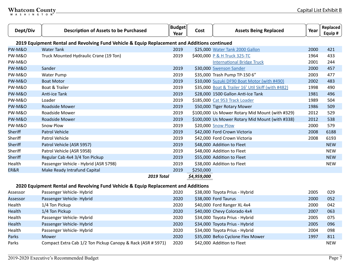| Dept/Div          | <b>Description of Assets to be Purchased</b>                                                            | <b>Budget</b><br>Year | Cost        | <b>Assets Being Replaced</b>                       | Year | Replaced<br>Equip # |
|-------------------|---------------------------------------------------------------------------------------------------------|-----------------------|-------------|----------------------------------------------------|------|---------------------|
|                   | 2019 Equipment Rental and Revolving Fund Vehicle & Equip Replacement and Additions continued            |                       |             |                                                    |      |                     |
| <b>PW-M&amp;O</b> | <b>Water Tank</b>                                                                                       | 2019                  |             | \$25,000 Water Tank 2000 Gallon                    | 2000 | 421                 |
| PW-M&O            | Truck Mounted Hydraulic Crane (19 Ton)                                                                  | 2019                  |             | \$400,000 P & H Truck 325-TC                       | 1964 | 433                 |
| PW-M&O            |                                                                                                         |                       |             | <b>International Bridge Truck</b>                  | 2001 | 244                 |
| PW-M&O            | Sander                                                                                                  | 2019                  |             | \$30,000 Swenson Sander                            | 2000 | 457                 |
| <b>PW-M&amp;O</b> | <b>Water Pump</b>                                                                                       | 2019                  |             | \$35,000 Trash Pump TP-150 6"                      | 2003 | 477                 |
| <b>PW-M&amp;O</b> | <b>Boat Motor</b>                                                                                       | 2019                  |             | \$10,000 Suzuki DF90 Boat Motor (with #490)        | 2002 | 483                 |
| <b>PW-M&amp;O</b> | Boat & Trailer                                                                                          | 2019                  |             | \$35,000 Boat & Trailer 16' Util Skiff (with #482) | 1998 | 490                 |
| PW-M&O            | Anti-ice Tank                                                                                           | 2019                  |             | \$28,000 1500 Gallon Anti-Ice Tank                 | 1981 | 496                 |
| <b>PW-M&amp;O</b> | Loader                                                                                                  | 2019                  |             | \$185,000 Cat 953 Track Loader                     | 1989 | 504                 |
| PW-M&O            | <b>Roadside Mower</b>                                                                                   | 2019                  |             | \$50,000 Tiger Rotary Mower                        | 1986 | 509                 |
| PW-M&O            | Roadside Mower                                                                                          | 2019                  |             | \$100,000 Us Mower Rotary Mid Mount (with #329)    | 2012 | 529                 |
| <b>PW-M&amp;O</b> | Roadside Mower                                                                                          | 2019                  |             | \$100,000 Us Mower Rotary Mid Mount (with #338)    | 2012 | 538                 |
| <b>PW-M&amp;O</b> | Snow Plow                                                                                               | 2019                  |             | \$20,000 Snow Plow                                 | 2000 | 579                 |
| <b>Sheriff</b>    | <b>Patrol Vehicle</b>                                                                                   | 2019                  |             | \$42,000 Ford Crown Victoria                       | 2008 | 6188                |
| Sheriff           | <b>Patrol Vehicle</b>                                                                                   | 2019                  |             | \$42,000 Ford Crown Victoria                       | 2008 | 6193                |
| <b>Sheriff</b>    | Patrol Vehicle (ASR 5957)                                                                               | 2019                  |             | \$48,000 Addition to Fleet                         |      | <b>NEW</b>          |
| Sheriff           | Patrol Vehicle (ASR 5958)                                                                               | 2019                  |             | \$48,000 Addition to Fleet                         |      | <b>NEW</b>          |
| Sheriff           | Regular Cab 4x4 3/4 Ton Pickup                                                                          | 2019                  |             | \$55,000 Addition to Fleet                         |      | <b>NEW</b>          |
| Health            | Passenger Vehicle - Hybrid (ASR 5798)                                                                   | 2019                  |             | \$38,000 Addition to Fleet                         |      | <b>NEW</b>          |
| ER&R              | Make Ready Intrafund Capital                                                                            | 2019                  | \$250,000   |                                                    |      |                     |
|                   | <b>2019 Total</b><br>2020 Faujument Rental and Revolving Fund Vehicle & Faujo Replacement and Additions |                       | \$4,959,000 |                                                    |      |                     |

#### **2020 Equipment Rental and Revolving Fund Vehicle & Equip Replacement and Additions**

| Assessor | Passenger Vehicle-Hybrid                                    | 2020 | \$38,000 Toyota Prius - Hybrid    | 2005 | 029        |
|----------|-------------------------------------------------------------|------|-----------------------------------|------|------------|
| Assessor | Passenger Vehicle-Hybrid                                    | 2020 | \$38,000 Ford Taurus              | 2000 | 052        |
| Health   | 1/4 Ton Pickup                                              | 2020 | \$40,000 Ford Ranger XL 4x4       | 2000 | 042        |
| Health   | 1/4 Ton Pickup                                              | 2020 | \$40,000 Chevy Colorado 4x4       | 2007 | 063        |
| Health   | Passenger Vehicle-Hybrid                                    | 2020 | \$34,000 Toyota Prius - Hybrid    | 2005 | 075        |
| Health   | Passenger Vehicle-Hybrid                                    | 2020 | \$34,000 Toyota Prius - Hybrid    | 2005 | 096        |
| Health   | Passenger Vehicle-Hybrid                                    | 2020 | \$34,000 Toyota Prius - Hybrid    | 2004 | 098        |
| Parks    | <b>Mower</b>                                                | 2020 | \$35,000 Befco Cyclone Flex Mower | 1997 | 811        |
| Parks    | Compact Extra Cab 1/2 Ton Pickup Canopy & Rack (ASR # 5971) | 2020 | \$42,000 Addition to Fleet        |      | <b>NEW</b> |